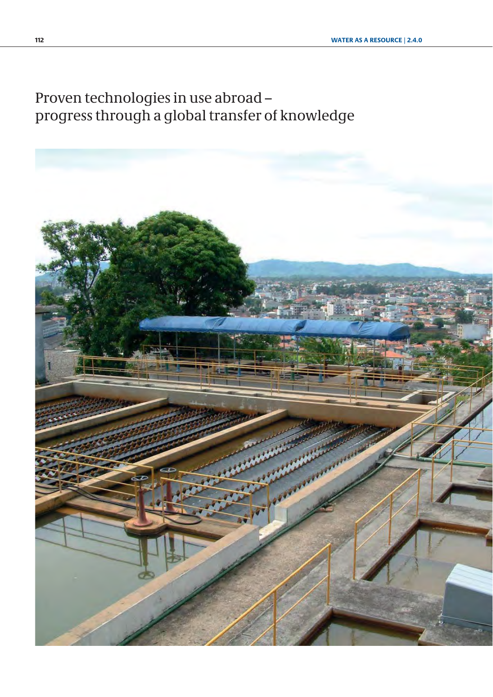Proven technologies in use abroad – progress through a global transfer of knowledge

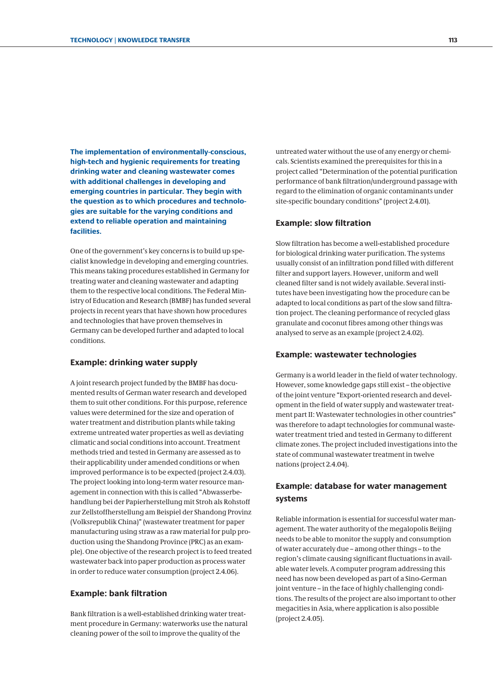**The implementation of environmentally-conscious, high-tech and hygienic requirements for treating drinking water and cleaning wastewater comes with additional challenges in developing and emerging countries in particular. They begin with the question as to which procedures and technologies are suitable for the varying conditions and extend to reliable operation and maintaining facilities.**

One of the government's key concerns is to build up specialist knowledge in developing and emerging countries. This means taking procedures established in Germany for treating water and cleaning wastewater and adapting them to the respective local conditions. The Federal Ministry of Education and Research (BMBF) has funded several projects in recent years that have shown how procedures and technologies that have proven themselves in Germany can be developed further and adapted to local conditions.

#### **Example: drinking water supply**

A joint research project funded by the BMBF has documented results of German water research and developed them to suit other conditions. For this purpose, reference values were determined for the size and operation of water treatment and distribution plants while taking extreme untreated water properties as well as deviating climatic and social conditions into account. Treatment methods tried and tested in Germany are assessed as to their applicability under amended conditions or when improved performance is to be expected [\(project 2.4.03\).](#page-6-0) The project looking into long-term water resource management in connection with this is called "Abwasserbehandlung bei der Papierherstellung mit Stroh als Rohstoff zur Zellstoffherstellung am Beispiel der Shandong Provinz (Volksrepublik China)" (wastewater treatment for paper manufacturing using straw as a raw material for pulp production using the Shandong Province (PRC) as an example). One objective of the research project is to feed treated wastewater back into paper production as process water in order to reduce water consumption [\(project 2.4.06\).](#page-12-0)

#### **Example: bank filtration**

Bank filtration is a well-established drinking water treatment procedure in Germany: waterworks use the natural cleaning power of the soil to improve the quality of the

untreated water without the use of any energy or chemicals. Scientists examined the prerequisites for this in a project called "Determination of the potential purification performance of bank filtration/underground passage with regard to the elimination of organic contaminants under site-specific boundary conditions" ([project 2.4.01\).](#page-2-0)

#### **Example: slow filtration**

Slow filtration has become a well-established procedure for biological drinking water purification. The systems usually consist of an infiltration pond filled with different filter and support layers. However, uniform and well cleaned filter sand is not widely available. Several institutes have been investigating how the procedure can be adapted to local conditions as part of the slow sand filtration project. The cleaning performance of recycled glass granulate and coconut fibres among other things was analysed to serve as an example [\(project 2.4.02\).](#page-4-0)

#### **Example: wastewater technologies**

Germany is a world leader in the field of water technology. However, some knowledge gaps still exist – the objective of the joint venture "Export-oriented research and development in the field of water supply and wastewater treatment part II: Wastewater technologies in other countries" was therefore to adapt technologies for communal wastewater treatment tried and tested in Germany to different climate zones. The project included investigations into the state of communal wastewater treatment in twelve nations ([project 2.4.04\).](#page-8-0)

### **Example: database for water management systems**

Reliable information is essential for successful water management. The water authority of the megalopolis Beijing needs to be able to monitor the supply and consumption of water accurately due – among other things – to the region's climate causing significant fluctuations in available water levels. A computer program addressing this need has now been developed as part of a Sino-German joint venture – in the face of highly challenging conditions. The results of the project are also important to other megacities in Asia, where application is also possible ([project 2.4.05\).](#page-10-0)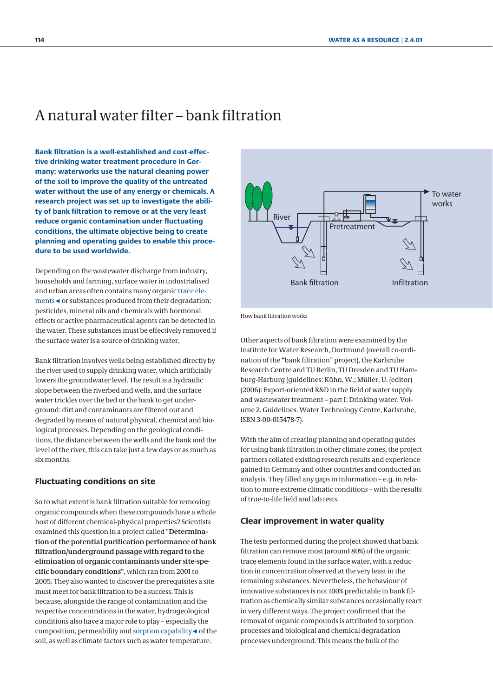## <span id="page-2-0"></span>A natural water filter – bank filtration

**Bank filtration is a well-established and cost-effective drinking water treatment procedure in Germany: waterworks use the natural cleaning power of the soil to improve the quality of the untreated water without the use of any energy or chemicals. A research project was set up to investigate the ability of bank filtration to remove or at the very least reduce organic contamination under fluctuating conditions, the ultimate objective being to create planning and operating guides to enable this procedure to be used worldwide.**

Depending on the wastewater discharge from industry, households and farming, surface water in industrialised and urban areas often contains many organic trace elements◄ or substances produced from their degradation: pesticides, mineral oils and chemicals with hormonal effects or active pharmaceutical agents can be detected in the water. These substances must be effectively removed if the surface water is a source of drinking water.

Bank filtration involves wells being established directly by the river used to supply drinking water, which artificially lowers the groundwater level. The result is a hydraulic slope between the riverbed and wells, and the surface water trickles over the bed or the bank to get underground: dirt and contaminants are filtered out and degraded by means of natural physical, chemical and biological processes. Depending on the geological conditions, the distance between the wells and the bank and the level of the river, this can take just a few days or as much as six months.

#### **Fluctuating conditions on site**

So to what extent is bank filtration suitable for removing organic compounds when these compounds have a whole host of different chemical-physical properties? Scientists examined this question in a project called "**Determination of the potential purification performance of bank filtration/underground passage with regard to the elimination of organic contaminants under site-specific boundary conditions**", which ran from 2001 to 2005. They also wanted to discover the prerequisites a site must meet for bank filtration to be a success. This is because, alongside the range of contamination and the respective concentrations in the water, hydrogeological conditions also have a major role to play – especially the composition, permeability and sorption capability◄ of the soil, as well as climate factors such as water temperature.



How bank filtration works

Other aspects of bank filtration were examined by the Institute for Water Research, Dortmund (overall co-ordination of the "bank filtration" project), the Karlsruhe Research Centre and TU Berlin, TU Dresden and TU Hamburg-Harburg (guidelines: Kühn, W.; Müller, U. (editor) (2006): Export-oriented R&D in the field of water supply and wastewater treatment – part I: Drinking water. Volume 2. Guidelines. Water Technology Centre, Karlsruhe, ISBN 3-00-015478-7).

With the aim of creating planning and operating guides for using bank filtration in other climate zones, the project partners collated existing research results and experience gained in Germany and other countries and conducted an analysis. They filled any gaps in information – e.g. in relation to more extreme climatic conditions – with the results of true-to-life field and lab tests.

#### **Clear improvement in water quality**

The tests performed during the project showed that bank filtration can remove most (around 80%) of the organic trace elements found in the surface water, with a reduction in concentration observed at the very least in the remaining substances. Nevertheless, the behaviour of innovative substances is not 100% predictable in bank filtration as chemically similar substances occasionally react in very different ways. The project confirmed that the removal of organic compounds is attributed to sorption processes and biological and chemical degradation processes underground. This means the bulk of the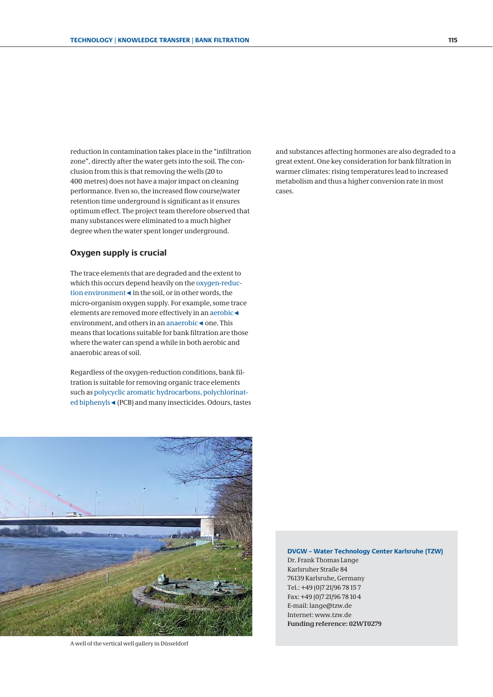reduction in contamination takes place in the "infiltration zone", directly after the water gets into the soil. The conclusion from this is that removing the wells (20 to 400 metres) does not have a major impact on cleaning performance. Even so, the increased flow course/water retention time underground is significant as it ensures optimum effect. The project team therefore observed that many substances were eliminated to a much higher degree when the water spent longer underground.

#### **Oxygen supply is crucial**

The trace elements that are degraded and the extent to which this occurs depend heavily on the oxygen-reduction environment◄ in the soil, or in other words, the micro-organism oxygen supply. For example, some trace elements are removed more effectively in an aerobic◄ environment, and others in an anaerobic◄ one. This means that locations suitable for bank filtration are those where the water can spend a while in both aerobic and anaerobic areas of soil.

Regardless of the oxygen-reduction conditions, bank filtration is suitable for removing organic trace elements such as polycyclic aromatic hydrocarbons, polychlorinated biphenyls◄ (PCB) and many insecticides. Odours, tastes and substances affecting hormones are also degraded to a great extent. One key consideration for bank filtration in warmer climates: rising temperatures lead to increased metabolism and thus a higher conversion rate in most cases.



A well of the vertical well gallery in Düsseldorf

**DVGW – Water Technology Center Karlsruhe (TZW)**

Dr. Frank Thomas Lange Karlsruher Straße 84 76139 Karlsruhe, Germany Tel.: +49 (0)7 21/96 78 15 7 Fax: +49 (0)7 21/96 78 10 4 E-mail: lange@tzw.de Internet: www.tzw.de **Funding reference: 02WT0279**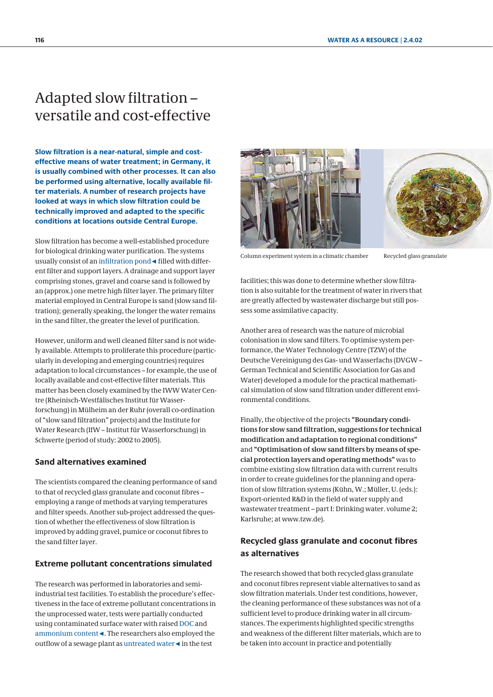## <span id="page-4-0"></span>Adapted slow filtration – versatile and cost-effective

**Slow filtration is a near-natural, simple and costeffective means of water treatment; in Germany, it is usually combined with other processes. It can also be performed using alternative, locally available filter materials. A number of research projects have looked at ways in which slow filtration could be technically improved and adapted to the specific conditions at locations outside Central Europe.**

Slow filtration has become a well-established procedure for biological drinking water purification. The systems usually consist of an infiltration pond◄ filled with different filter and support layers. A drainage and support layer comprising stones, gravel and coarse sand is followed by an (approx.) one metre high filter layer. The primary filter material employed in Central Europe is sand (slow sand filtration); generally speaking, the longer the water remains in the sand filter, the greater the level of purification.

However, uniform and well cleaned filter sand is not widely available. Attempts to proliferate this procedure (particularly in developing and emerging countries) requires adaptation to local circumstances – for example, the use of locally available and cost-effective filter materials. This matter has been closely examined by the IWW Water Centre (Rheinisch-Westfälisches Institut für Wasserforschung) in Mülheim an der Ruhr (overall co-ordination of "slow sand filtration" projects) and the Institute for Water Research (IfW – Institut für Wasserforschung) in Schwerte (period of study: 2002 to 2005).

#### **Sand alternatives examined**

The scientists compared the cleaning performance of sand to that of recycled glass granulate and coconut fibres – employing a range of methods at varying temperatures and filter speeds. Another sub-project addressed the question of whether the effectiveness of slow filtration is improved by adding gravel, pumice or coconut fibres to the sand filter layer.

#### **Extreme pollutant concentrations simulated**

The research was performed in laboratories and semiindustrial test facilities. To establish the procedure's effectiveness in the face of extreme pollutant concentrations in the unprocessed water, tests were partially conducted using contaminated surface water with raised DOC and ammonium content◄. The researchers also employed the outflow of a sewage plant as untreated water◄ in the test





Column experiment system in a climatic chamber Recycled glass granulate

facilities; this was done to determine whether slow filtration is also suitable for the treatment of water in rivers that are greatly affected by wastewater discharge but still possess some assimilative capacity.

Another area of research was the nature of microbial colonisation in slow sand filters. To optimise system performance, the Water Technology Centre (TZW) of the Deutsche Vereinigung des Gas- und Wasserfachs (DVGW – German Technical and Scientific Association for Gas and Water) developed a module for the practical mathematical simulation of slow sand filtration under different environmental conditions.

Finally, the objective of the projects **"Boundary conditions for slow sand filtration, suggestions for technical modification and adaptation to regional conditions"** and **"Optimisation of slow sand filters by means of special protection layers and operating methods"** was to combine existing slow filtration data with current results in order to create guidelines for the planning and operation of slow filtration systems (Kühn, W.; Müller, U. (eds.): Export-oriented R&D in the field of water supply and wastewater treatment – part I: Drinking water. volume 2; Karlsruhe; at www.tzw.de).

### **Recycled glass granulate and coconut fibres as alternatives**

The research showed that both recycled glass granulate and coconut fibres represent viable alternatives to sand as slow filtration materials. Under test conditions, however, the cleaning performance of these substances was not of a sufficient level to produce drinking water in all circumstances. The experiments highlighted specific strengths and weakness of the different filter materials, which are to be taken into account in practice and potentially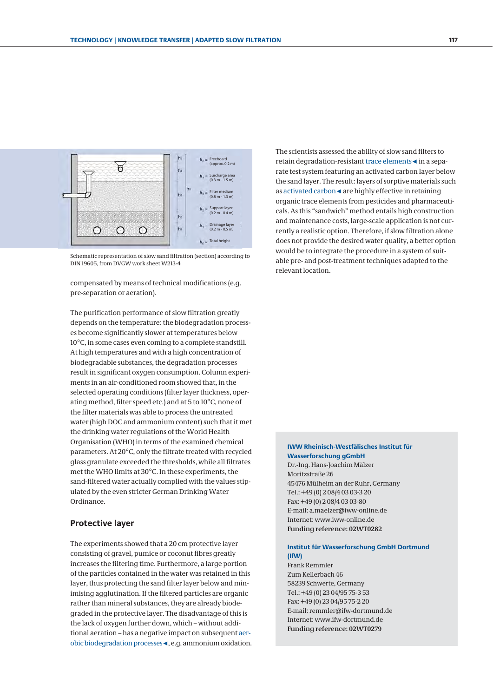

Schematic representation of slow sand filtration (section) according to DIN 19605, from DVGW work sheet W213-4

 compensated by means of technical modifications (e.g. pre-separation or aeration).

The purification performance of slow filtration greatly depends on the temperature: the biodegradation processes become significantly slower at temperatures below 10°C, in some cases even coming to a complete standstill. At high temperatures and with a high concentration of biodegradable substances, the degradation processes result in significant oxygen consumption. Column experiments in an air-conditioned room showed that, in the selected operating conditions (filter layer thickness, operating method, filter speed etc.) and at 5 to 10°C, none of the filter materials was able to process the untreated water (high DOC and ammonium content) such that it met the drinking water regulations of the World Health Organisation (WHO) in terms of the examined chemical parameters. At 20°C, only the filtrate treated with recycled glass granulate exceeded the thresholds, while all filtrates met the WHO limits at 30°C. In these experiments, the sand-filtered water actually complied with the values stipulated by the even stricter German Drinking Water Ordinance.

#### **Protective layer**

The experiments showed that a 20 cm protective layer consisting of gravel, pumice or coconut fibres greatly increases the filtering time. Furthermore, a large portion of the particles contained in the water was retained in this layer, thus protecting the sand filter layer below and minimising agglutination. If the filtered particles are organic rather than mineral substances, they are already biodegraded in the protective layer. The disadvantage of this is the lack of oxygen further down, which – without additional aeration – has a negative impact on subsequent aerobic biodegradation processes◄, e.g. ammonium oxidation. The scientists assessed the ability of slow sand filters to retain degradation-resistant trace elements◄ in a separate test system featuring an activated carbon layer below the sand layer. The result: layers of sorptive materials such as activated carbon◄ are highly effective in retaining organic trace elements from pesticides and pharmaceuticals. As this "sandwich" method entails high construction and maintenance costs, large-scale application is not currently a realistic option. Therefore, if slow filtration alone does not provide the desired water quality, a better option would be to integrate the procedure in a system of suitable pre- and post-treatment techniques adapted to the relevant location.

#### **IWW Rheinisch-Westfälisches Institut für Wasserforschung gGmbH**

Dr.-Ing. Hans-Joachim Mälzer Moritzstraße 26 45476 Mülheim an der Ruhr, Germany Tel.: +49 (0) 2 08/4 03 03-3 20 Fax: +49 (0) 2 08/4 03 03-80 E-mail: a.maelzer@iww-online.de Internet: www.iww-online.de **Funding reference: 02WT0282**

#### **Institut für Wasserforschung GmbH Dortmund (IfW)**

Frank Remmler Zum Kellerbach 46 58239 Schwerte, Germany Tel.: +49 (0) 23 04/95 75-3 53 Fax: +49 (0) 23 04/95 75-2 20 E-mail: remmler@ifw-dortmund.de Internet: www.ifw-dortmund.de **Funding reference: 02WT0279**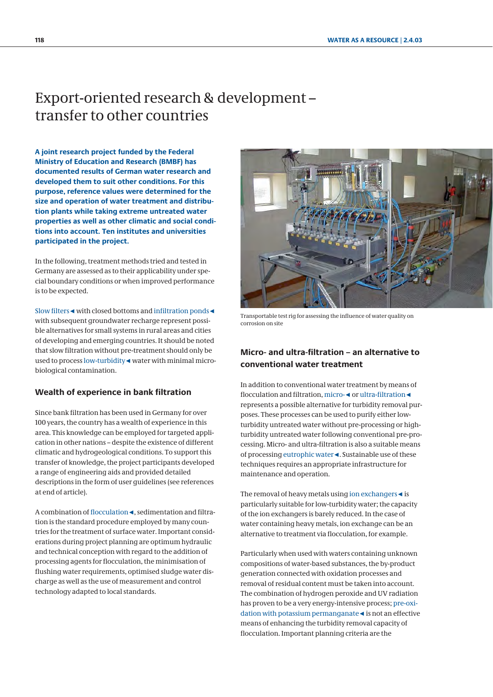## <span id="page-6-0"></span>Export-oriented research & development – transfer to other countries

**A joint research project funded by the Federal Ministry of Education and Research (BMBF) has documented results of German water research and developed them to suit other conditions. For this purpose, reference values were determined for the size and operation of water treatment and distribution plants while taking extreme untreated water properties as well as other climatic and social conditions into account. Ten institutes and universities participated in the project.**

In the following, treatment methods tried and tested in Germany are assessed as to their applicability under special boundary conditions or when improved performance is to be expected.

Slow filters◄ with closed bottoms and infiltration ponds◄ with subsequent groundwater recharge represent possible alternatives for small systems in rural areas and cities of developing and emerging countries. It should be noted that slow filtration without pre-treatment should only be used to process low-turbidity◄ water with minimal microbiological contamination.

#### **Wealth of experience in bank filtration**

Since bank filtration has been used in Germany for over 100 years, the country has a wealth of experience in this area. This knowledge can be employed for targeted application in other nations – despite the existence of different climatic and hydrogeological conditions. To support this transfer of knowledge, the project participants developed a range of engineering aids and provided detailed descriptions in the form of user guidelines (see references at end of article).

A combination of flocculation◄, sedimentation and filtration is the standard procedure employed by many countries for the treatment of surface water. Important considerations during project planning are optimum hydraulic and technical conception with regard to the addition of processing agents for flocculation, the minimisation of flushing water requirements, optimised sludge water discharge as well as the use of measurement and control technology adapted to local standards.



Transportable test rig for assessing the influence of water quality on corrosion on site

### **Micro- and ultra-filtration – an alternative to conventional water treatment**

In addition to conventional water treatment by means of flocculation and filtration, micro-◄ or ultra-filtration◄ represents a possible alternative for turbidity removal purposes. These processes can be used to purify either lowturbidity untreated water without pre-processing or highturbidity untreated water following conventional pre-processing. Micro- and ultra-filtration is also a suitable means of processing eutrophic water◄. Sustainable use of these techniques requires an appropriate infrastructure for maintenance and operation.

The removal of heavy metals using ion exchangers◄ is particularly suitable for low-turbidity water; the capacity of the ion exchangers is barely reduced. In the case of water containing heavy metals, ion exchange can be an alternative to treatment via flocculation, for example.

Particularly when used with waters containing unknown compositions of water-based substances, the by-product generation connected with oxidation processes and removal of residual content must be taken into account. The combination of hydrogen peroxide and UV radiation has proven to be a very energy-intensive process; pre-oxidation with potassium permanganate◄ is not an effective means of enhancing the turbidity removal capacity of flocculation. Important planning criteria are the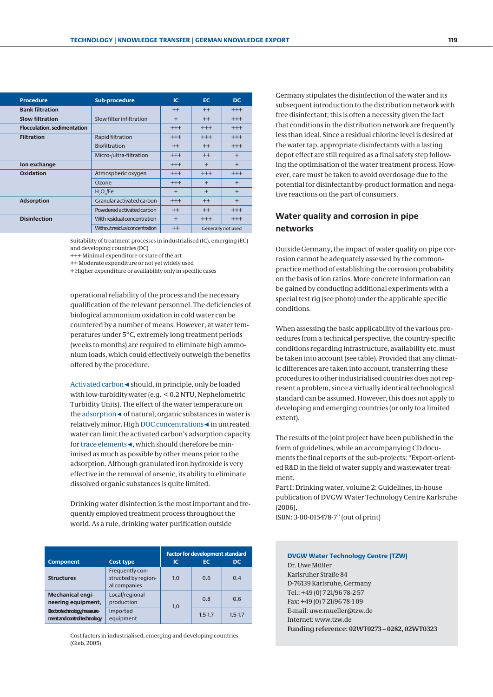| <b>Procedure</b>                   | <b>Sub-procedure</b>                 | IC.      | EC.                | DC.       |
|------------------------------------|--------------------------------------|----------|--------------------|-----------|
| <b>Bank filtration</b>             |                                      | $^{++}$  | $^{++}$            | $+++$     |
| <b>Slow filtration</b>             | Slow filter infiltration             | $+$      | $++$               | $^{+++}$  |
| <b>Flocculation, sedimentation</b> |                                      | $^{+++}$ | $^{+++}$           | $+++$     |
| <b>Filtration</b>                  | Rapid filtration                     | $^{+++}$ | $^{+++}$           | $+++$     |
|                                    | <b>Biofiltration</b>                 | $++$     | $++$               | $+++$     |
|                                    | Micro-/ultra-filtration              | $^{+++}$ | $^{++}$            | $\ddot{}$ |
| Ion exchange                       |                                      | $^{+++}$ | $\ddot{}$          | $\ddot{}$ |
| Oxidation                          | Atmospheric oxygen                   | $^{+++}$ | $^{+++}$           | $+++$     |
|                                    | Ozone                                | $^{+++}$ | $+$                | $\ddot{}$ |
|                                    | $H_2O_2$ /Fe                         | $+$      | $+$                | $+$       |
| <b>Adsorption</b>                  | Granular activated carbon            | $^{+++}$ | $^{++}$            | $+$       |
|                                    | Powdered activated carbon            | $++$     | $++$               | $+++$     |
| <b>Disinfection</b>                | With residual concentration          | $+$      | $^{+++}$           | $+++$     |
|                                    | <b>Withoutresidual concentration</b> | $^{++}$  | Generally not used |           |
|                                    |                                      |          |                    |           |

Suitability of treatment processes in industrialised (IC), emerging (EC) and developing countries (DC)

+++ Minimal expenditure or state of the art

++ Moderate expenditure or not yet widely used

+ Higher expenditure or availability only in specific cases

 operational reliability of the process and the necessary qualification of the relevant personnel. The deficiencies of biological ammonium oxidation in cold water can be countered by a number of means. However, at water temperatures under 5°C, extremely long treatment periods (weeks to months) are required to eliminate high ammonium loads, which could effectively outweigh the benefits offered by the procedure.

Activated carbon◄ should, in principle, only be loaded with low-turbidity water (e.g. < 0.2 NTU, Nephelometric Turbidity Units). The effect of the water temperature on the adsorption◄ of natural, organic substances in water is relatively minor. High DOC concentrations◄ in untreated water can limit the activated carbon's adsorption capacity for trace elements◄, which should therefore be minimised as much as possible by other means prior to the adsorption. Although granulated iron hydroxide is very effective in the removal of arsenic, its ability to eliminate dissolved organic substances is quite limited.

Drinking water disinfection is the most important and frequently employed treatment process throughout the world. As a rule, drinking water purification outside

| <b>Component</b>                                       | <b>Cost type</b>                                       | <b>Factor for development standard</b><br>DC.<br>ıс<br>ЕC |             |             |  |
|--------------------------------------------------------|--------------------------------------------------------|-----------------------------------------------------------|-------------|-------------|--|
| <b>Structures</b>                                      | Frequently con-<br>structed by region-<br>al companies | 1.0                                                       | 0.6         | 0.4         |  |
| <b>Mechanical engi-</b><br>neering equipment.          | Local/regional<br>production                           | 1.0                                                       | 0.8         | 0.6         |  |
| Electrotechnology/measure-<br>mentandcontroltechnology | Imported<br>equipment                                  |                                                           | $1.5 - 1.7$ | $1.5 - 1.7$ |  |

Cost factors in industrialised, emerging and developing countries (Gieb, 2005)

 Germany stipulates the disinfection of the water and its subsequent introduction to the distribution network with free disinfectant; this is often a necessity given the fact that conditions in the distribution network are frequently less than ideal. Since a residual chlorine level is desired at the water tap, appropriate disinfectants with a lasting depot effect are still required as a final safety step following the optimisation of the water treatment process. However, care must be taken to avoid overdosage due to the potential for disinfectant by-product formation and negative reactions on the part of consumers.

### **Water quality and corrosion in pipe networks**

Outside Germany, the impact of water quality on pipe corrosion cannot be adequately assessed by the commonpractice method of establishing the corrosion probability on the basis of ion ratios. More concrete information can be gained by conducting additional experiments with a special test rig (see photo) under the applicable specific conditions.

When assessing the basic applicability of the various procedures from a technical perspective, the country-specific conditions regarding infrastructure, availability etc. must be taken into account (see table). Provided that any climatic differences are taken into account, transferring these procedures to other industrialised countries does not represent a problem, since a virtually identical technological standard can be assumed. However, this does not apply to developing and emerging countries (or only to a limited extent).

The results of the joint project have been published in the form of guidelines, while an accompanying CD documents the final reports of the sub-projects: "Export-oriented R&D in the field of water supply and wastewater treatment.

Part I: Drinking water, volume 2: Guidelines, in-house publication of DVGW Water Technology Centre Karlsruhe (2006),

ISBN: 3-00-015478-7" (out of print)

#### **DVGW Water Technology Centre (TZW)** Dr. Uwe Müller

Karlsruher Straße 84 D-76139 Karlsruhe, Germany Tel.: +49 (0) 7 21/96 78-2 57 Fax: +49 (0) 7 21/96 78-1 09 E-mail: uwe.mueller@tzw.de Internet: www.tzw.de **Funding reference: 02WT0273 – 0282, 02WT0323**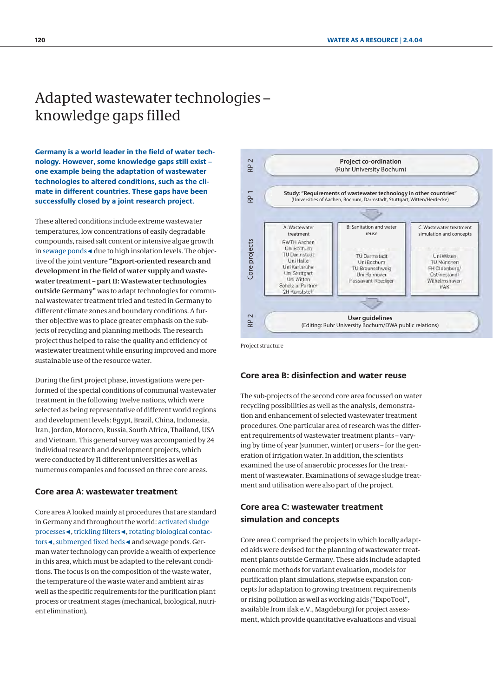# <span id="page-8-0"></span>Adapted wastewater technologies – knowledge gaps filled

**Germany is a world leader in the field of water technology. However, some knowledge gaps still exist – one example being the adaptation of wastewater technologies to altered conditions, such as the climate in different countries. These gaps have been successfully closed by a joint research project.**

These altered conditions include extreme wastewater temperatures, low concentrations of easily degradable compounds, raised salt content or intensive algae growth in sewage ponds◄ due to high insolation levels. The objective of the joint venture **"Export-oriented research and development in the field of water supply and wastewater treatment – part II: Wastewater technologies outside Germany"** was to adapt technologies for communal wastewater treatment tried and tested in Germany to different climate zones and boundary conditions. A further objective was to place greater emphasis on the subjects of recycling and planning methods. The research project thus helped to raise the quality and efficiency of wastewater treatment while ensuring improved and more sustainable use of the resource water.

During the first project phase, investigations were performed of the special conditions of communal wastewater treatment in the following twelve nations, which were selected as being representative of different world regions and development levels: Egypt, Brazil, China, Indonesia, Iran, Jordan, Morocco, Russia, South Africa, Thailand, USA and Vietnam. This general survey was accompanied by 24 individual research and development projects, which were conducted by 11 different universities as well as numerous companies and focussed on three core areas.

#### **Core area A: wastewater treatment**

Core area A looked mainly at procedures that are standard in Germany and throughout the world: activated sludge processes◄, trickling filters◄, rotating biological contactors◄, submerged fixed beds◄ and sewage ponds. German water technology can provide a wealth of experience in this area, which must be adapted to the relevant conditions. The focus is on the composition of the waste water, the temperature of the waste water and ambient air as well as the specific requirements for the purification plant process or treatment stages (mechanical, biological, nutrient elimination).



Project structure

#### **Core area B: disinfection and water reuse**

The sub-projects of the second core area focussed on water recycling possibilities as well as the analysis, demonstration and enhancement of selected wastewater treatment procedures. One particular area of research was the different requirements of wastewater treatment plants – varying by time of year (summer, winter) or users – for the generation of irrigation water. In addition, the scientists examined the use of anaerobic processes for the treatment of wastewater. Examinations of sewage sludge treatment and utilisation were also part of the project.

### **Core area C: wastewater treatment simulation and concepts**

Core area C comprised the projects in which locally adapted aids were devised for the planning of wastewater treatment plants outside Germany. These aids include adapted economic methods for variant evaluation, models for purification plant simulations, stepwise expansion concepts for adaptation to growing treatment requirements or rising pollution as well as working aids ("ExpoTool", available from ifak e.V., Magdeburg) for project assessment, which provide quantitative evaluations and visual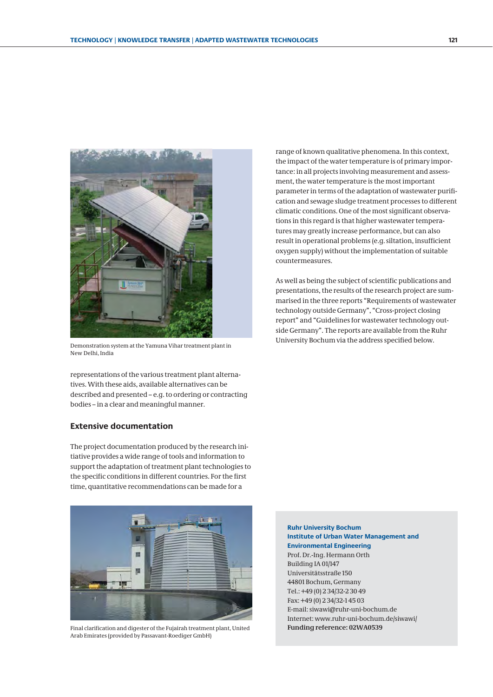

Demonstration system at the Yamuna Vihar treatment plant in New Delhi, India

representations of the various treatment plant alternatives. With these aids, available alternatives can be described and presented – e.g. to ordering or contracting bodies – in a clear and meaningful manner.

#### **Extensive documentation**

The project documentation produced by the research initiative provides a wide range of tools and information to support the adaptation of treatment plant technologies to the specific conditions in different countries. For the first time, quantitative recommendations can be made for a



Final clarification and digester of the Fujairah treatment plant, United **Funding reference: 02WA0539** Arab Emirates (provided by Passavant-Roediger GmbH)

range of known qualitative phenomena. In this context, the impact of the water temperature is of primary importance: in all projects involving measurement and assessment, the water temperature is the most important parameter in terms of the adaptation of wastewater purification and sewage sludge treatment processes to different climatic conditions. One of the most significant observations in this regard is that higher wastewater temperatures may greatly increase performance, but can also result in operational problems (e.g. siltation, insufficient oxygen supply) without the implementation of suitable countermeasures.

As well as being the subject of scientific publications and presentations, the results of the research project are summarised in the three reports "Requirements of wastewater technology outside Germany", "Cross-project closing report" and "Guidelines for wastewater technology outside Germany". The reports are available from the Ruhr University Bochum via the address specified below.

**Ruhr University Bochum Institute of Urban Water Management and Environmental Engineering** Prof. Dr.-Ing. Hermann Orth Building IA 01/147 Universitätsstraße 150 44801 Bochum, Germany Tel.: +49 (0) 2 34/32-2 30 49 Fax: +49 (0) 2 34/32-1 45 03 E-mail: siwawi@ruhr-uni-bochum.de Internet: www.ruhr-uni-bochum.de/siwawi/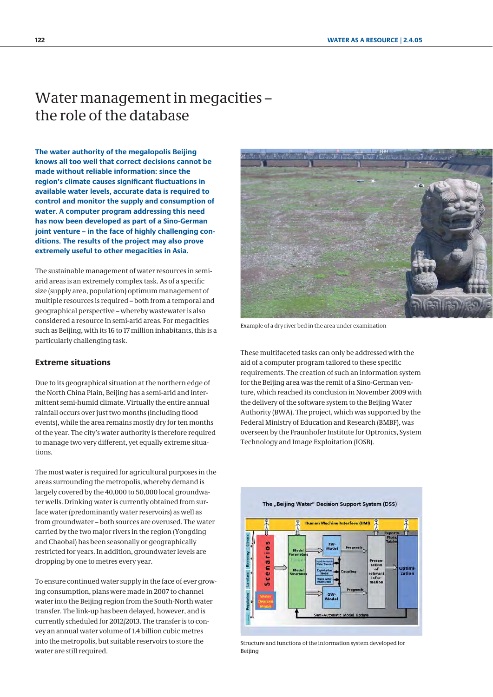## <span id="page-10-0"></span>Water management in megacities – the role of the database

**The water authority of the megalopolis Beijing knows all too well that correct decisions cannot be made without reliable information: since the region's climate causes significant fluctuations in available water levels, accurate data is required to control and monitor the supply and consumption of water. A computer program addressing this need has now been developed as part of a Sino-German joint venture – in the face of highly challenging conditions. The results of the project may also prove extremely useful to other megacities in Asia.**

The sustainable management of water resources in semiarid areas is an extremely complex task. As of a specific size (supply area, population) optimum management of multiple resources is required – both from a temporal and geographical perspective – whereby wastewater is also considered a resource in semi-arid areas. For megacities such as Beijing, with its 16 to 17 million inhabitants, this is a particularly challenging task.

#### **Extreme situations**

Due to its geographical situation at the northern edge of the North China Plain, Beijing has a semi-arid and intermittent semi-humid climate. Virtually the entire annual rainfall occurs over just two months (including flood events), while the area remains mostly dry for ten months of the year. The city's water authority is therefore required to manage two very different, yet equally extreme situations.

The most water is required for agricultural purposes in the areas surrounding the metropolis, whereby demand is largely covered by the 40,000 to 50,000 local groundwater wells. Drinking water is currently obtained from surface water (predominantly water reservoirs) as well as from groundwater – both sources are overused. The water carried by the two major rivers in the region (Yongding and Chaobai) has been seasonally or geographically restricted for years. In addition, groundwater levels are dropping by one to metres every year.

To ensure continued water supply in the face of ever growing consumption, plans were made in 2007 to channel water into the Beijing region from the South-North water transfer. The link-up has been delayed, however, and is currently scheduled for 2012/2013. The transfer is to convey an annual water volume of 1.4 billion cubic metres into the metropolis, but suitable reservoirs to store the water are still required.



Example of a dry river bed in the area under examination

These multifaceted tasks can only be addressed with the aid of a computer program tailored to these specific requirements. The creation of such an information system for the Beijing area was the remit of a Sino-German venture, which reached its conclusion in November 2009 with the delivery of the software system to the Beijing Water Authority (BWA). The project, which was supported by the Federal Ministry of Education and Research (BMBF), was overseen by the Fraunhofer Institute for Optronics, System Technology and Image Exploitation (IOSB).



Structure and functions of the information system developed for Beijing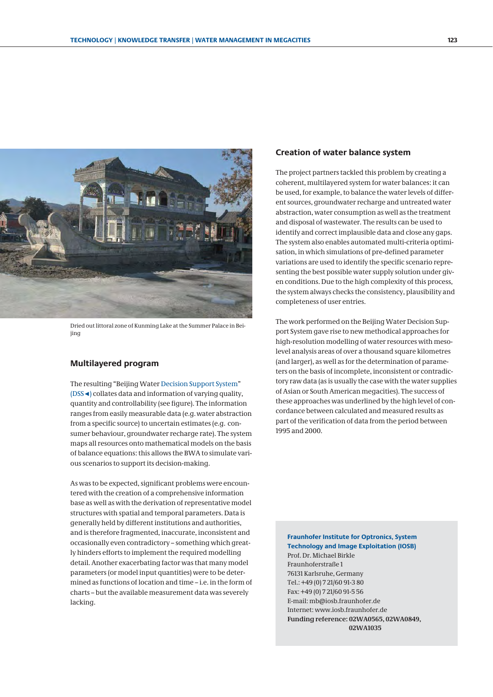

Dried out littoral zone of Kunming Lake at the Summer Palace in Beijing

#### **Multilayered program**

The resulting "Beijing Water Decision Support System" (DSS◄) collates data and information of varying quality, quantity and controllability (see figure). The information ranges from easily measurable data (e.g. water abstraction from a specific source) to uncertain estimates (e.g. consumer behaviour, groundwater recharge rate). The system maps all resources onto mathematical models on the basis of balance equations: this allows the BWA to simulate various scenarios to support its decision-making.

As was to be expected, significant problems were encountered with the creation of a comprehensive information base as well as with the derivation of representative model structures with spatial and temporal parameters. Data is generally held by different institutions and authorities, and is therefore fragmented, inaccurate, inconsistent and occasionally even contradictory – something which greatly hinders efforts to implement the required modelling detail. Another exacerbating factor was that many model parameters (or model input quantities) were to be determined as functions of location and time – i.e. in the form of charts – but the available measurement data was severely lacking.

#### **Creation of water balance system**

The project partners tackled this problem by creating a coherent, multilayered system for water balances: it can be used, for example, to balance the water levels of different sources, groundwater recharge and untreated water abstraction, water consumption as well as the treatment and disposal of wastewater. The results can be used to identify and correct implausible data and close any gaps. The system also enables automated multi-criteria optimisation, in which simulations of pre-defined parameter variations are used to identify the specific scenario representing the best possible water supply solution under given conditions. Due to the high complexity of this process, the system always checks the consistency, plausibility and completeness of user entries.

The work performed on the Beijing Water Decision Support System gave rise to new methodical approaches for high-resolution modelling of water resources with mesolevel analysis areas of over a thousand square kilometres (and larger), as well as for the determination of parameters on the basis of incomplete, inconsistent or contradictory raw data (as is usually the case with the water supplies of Asian or South American megacities). The success of these approaches was underlined by the high level of concordance between calculated and measured results as part of the verification of data from the period between 1995 and 2000.

**Fraunhofer Institute for Optronics, System Technology and Image Exploitation (IOSB)** Prof. Dr. Michael Birkle Fraunhoferstraße 1 76131 Karlsruhe, Germany Tel.: +49 (0) 7 21/60 91-3 80 Fax: +49 (0) 7 21/60 91-5 56 E-mail: mb@iosb.fraunhofer.de Internet: www.iosb.fraunhofer.de **Funding reference: 02WA0565, 02WA0849, 02WA1035**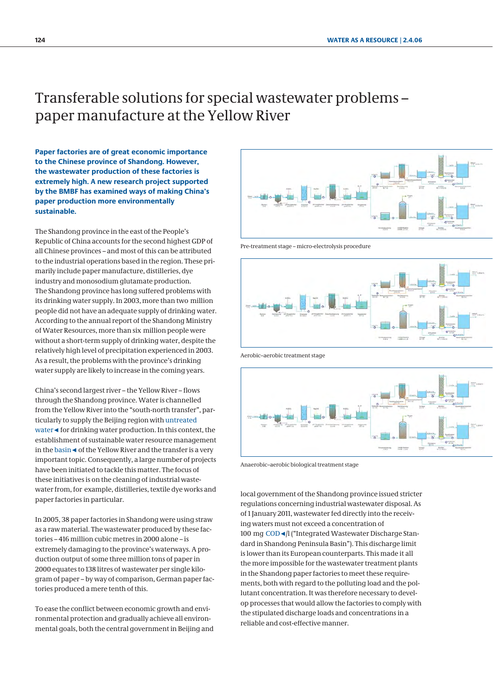## <span id="page-12-0"></span>Transferable solutions for special wastewater problems – paper manufacture at the Yellow River

**Paper factories are of great economic importance to the Chinese province of Shandong. However, the wastewater production of these factories is extremely high. A new research project supported by the BMBF has examined ways of making China's paper production more environmentally sustainable.**

The Shandong province in the east of the People's Republic of China accounts for the second highest GDP of all Chinese provinces – and most of this can be attributed to the industrial operations based in the region. These primarily include paper manufacture, distilleries, dye industry and monosodium glutamate production. The Shandong province has long suffered problems with its drinking water supply. In 2003, more than two million people did not have an adequate supply of drinking water. According to the annual report of the Shandong Ministry of Water Resources, more than six million people were without a short-term supply of drinking water, despite the relatively high level of precipitation experienced in 2003. As a result, the problems with the province's drinking water supply are likely to increase in the coming years.

China's second largest river – the Yellow River – flows through the Shandong province. Water is channelled from the Yellow River into the "south-north transfer", particularly to supply the Beijing region with untreated water◄ for drinking water production. In this context, the establishment of sustainable water resource management in the basin◄ of the Yellow River and the transfer is a very important topic. Consequently, a large number of projects have been initiated to tackle this matter. The focus of these initiatives is on the cleaning of industrial wastewater from, for example, distilleries, textile dye works and paper factories in particular.

In 2005, 38 paper factories in Shandong were using straw as a raw material. The wastewater produced by these factories – 416 million cubic metres in 2000 alone – is extremely damaging to the province's waterways. A production output of some three million tons of paper in 2000 equates to 138 litres of wastewater per single kilogram of paper – by way of comparison, German paper factories produced a mere tenth of this.

To ease the conflict between economic growth and environmental protection and gradually achieve all environmental goals, both the central government in Beijing and



Pre-treatment stage – micro-electrolysis procedure



Aerobic–aerobic treatment stage



Anaerobic–aerobic biological treatment stage

local government of the Shandong province issued stricter regulations concerning industrial wastewater disposal. As of 1 January 2011, wastewater fed directly into the receiving waters must not exceed a concentration of 100 mg COD◄/l ("Integrated Wastewater Discharge Standard in Shandong Peninsula Basin"). This discharge limit is lower than its European counterparts. This made it all the more impossible for the wastewater treatment plants in the Shandong paper factories to meet these requirements, both with regard to the polluting load and the pollutant concentration. It was therefore necessary to develop processes that would allow the factories to comply with the stipulated discharge loads and concentrations in a reliable and cost-effective manner.